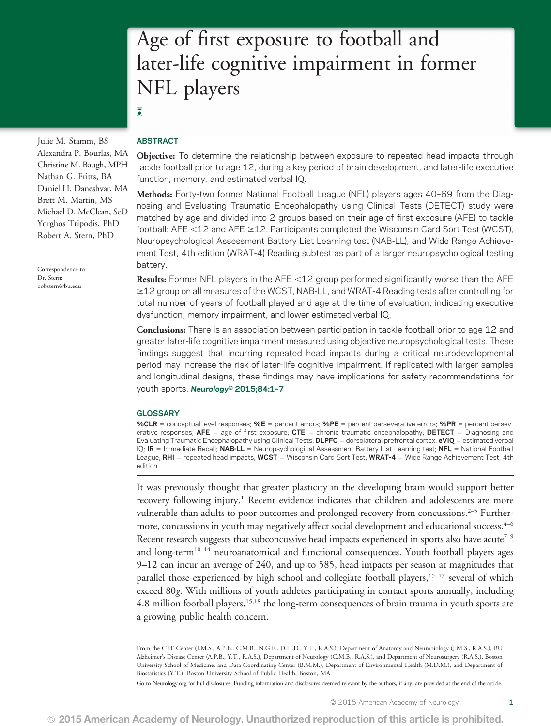# Age of first exposure to football and later-life cognitive impairment in former NFL players

 $\blacksquare$ 

Julie M. Stamm, BS Alexandra P. Bourlas, MA Christine M. Baugh, MPH Nathan G. Fritts, BA Daniel H. Daneshvar, MA Brett M. Martin, MS Michael D. McClean, ScD Yorghos Tripodis, PhD Robert A. Stern, PhD

Correspondence to Dr. Stern: [bobstern@bu.edu](mailto:bobstern@bu.edu)

## ABSTRACT

Objective: To determine the relationship between exposure to repeated head impacts through tackle football prior to age 12, during a key period of brain development, and later-life executive function, memory, and estimated verbal IQ.

Methods: Forty-two former National Football League (NFL) players ages 40–69 from the Diagnosing and Evaluating Traumatic Encephalopathy using Clinical Tests (DETECT) study were matched by age and divided into 2 groups based on their age of first exposure (AFE) to tackle football: AFE  $<$ 12 and AFE  $\ge$ 12. Participants completed the Wisconsin Card Sort Test (WCST), Neuropsychological Assessment Battery List Learning test (NAB-LL), and Wide Range Achievement Test, 4th edition (WRAT-4) Reading subtest as part of a larger neuropsychological testing battery.

Results: Former NFL players in the AFE <12 group performed significantly worse than the AFE  $\geq$  12 group on all measures of the WCST, NAB-LL, and WRAT-4 Reading tests after controlling for total number of years of football played and age at the time of evaluation, indicating executive dysfunction, memory impairment, and lower estimated verbal IQ.

Conclusions: There is an association between participation in tackle football prior to age 12 and greater later-life cognitive impairment measured using objective neuropsychological tests. These findings suggest that incurring repeated head impacts during a critical neurodevelopmental period may increase the risk of later-life cognitive impairment. If replicated with larger samples and longitudinal designs, these findings may have implications for safety recommendations for youth sports. Neurology® 2015;84:1-7

## **GLOSSARY**

%CLR = conceptual level responses; %E = percent errors; %PE = percent perseverative errors; %PR = percent perseverative responses;  $AFE = age$  of first exposure; CTE = chronic traumatic encephalopathy; DETECT = Diagnosing and Evaluating Traumatic Encephalopathy using Clinical Tests; DLPFC = dorsolateral prefrontal cortex;  $eVIQ =$  estimated verbal  $IQ$ ; IR = Immediate Recall; NAB-LL = Neuropsychological Assessment Battery List Learning test; NFL = National Football League; RHI = repeated head impacts; WCST = Wisconsin Card Sort Test; WRAT-4 = Wide Range Achievement Test, 4th edition.

It was previously thought that greater plasticity in the developing brain would support better recovery following injury.<sup>1</sup> Recent evidence indicates that children and adolescents are more vulnerable than adults to poor outcomes and prolonged recovery from concussions.<sup>2-5</sup> Furthermore, concussions in youth may negatively affect social development and educational success.<sup>4–6</sup> Recent research suggests that subconcussive head impacts experienced in sports also have acute<sup> $7-9$ </sup> and long-term<sup>10–14</sup> neuroanatomical and functional consequences. Youth football players ages 9–12 can incur an average of 240, and up to 585, head impacts per season at magnitudes that parallel those experienced by high school and collegiate football players,<sup>15-17</sup> several of which exceed 80g. With millions of youth athletes participating in contact sports annually, including 4.8 million football players,15,18 the long-term consequences of brain trauma in youth sports are a growing public health concern.

Go to [Neurology.org](http://neurology.org/) for full disclosures. Funding information and disclosures deemed relevant by the authors, if any, are provided at the end of the article.

From the CTE Center (J.M.S., A.P.B., C.M.B., N.G.F., D.H.D., Y.T., R.A.S.), Department of Anatomy and Neurobiology (J.M.S., R.A.S.), BU Alzheimer's Disease Center (A.P.B., Y.T., R.A.S.), Department of Neurology (C.M.B., R.A.S.), and Department of Neurosurgery (R.A.S.), Boston University School of Medicine; and Data Coordinating Center (B.M.M.), Department of Environmental Health (M.D.M.), and Department of Biostatistics (Y.T.), Boston University School of Public Health, Boston, MA.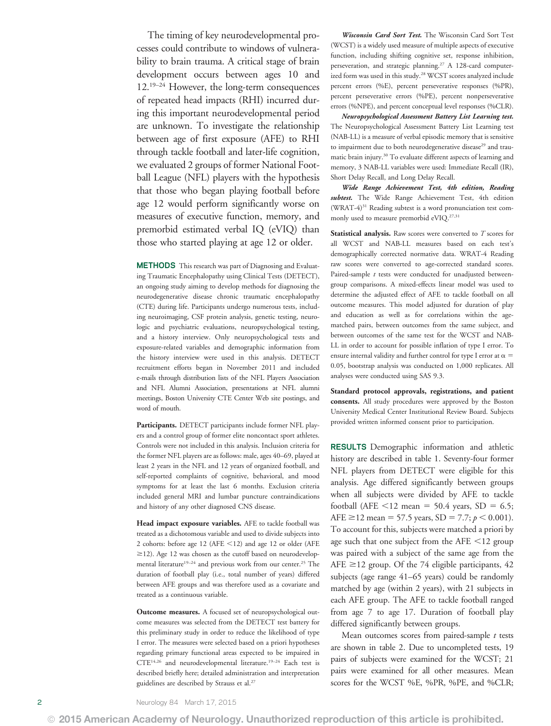The timing of key neurodevelopmental processes could contribute to windows of vulnerability to brain trauma. A critical stage of brain development occurs between ages 10 and 12.19–<sup>24</sup> However, the long-term consequences of repeated head impacts (RHI) incurred during this important neurodevelopmental period are unknown. To investigate the relationship between age of first exposure (AFE) to RHI through tackle football and later-life cognition, we evaluated 2 groups of former National Football League (NFL) players with the hypothesis that those who began playing football before age 12 would perform significantly worse on measures of executive function, memory, and premorbid estimated verbal IQ (eVIQ) than those who started playing at age 12 or older.

METHODS This research was part of Diagnosing and Evaluating Traumatic Encephalopathy using Clinical Tests (DETECT), an ongoing study aiming to develop methods for diagnosing the neurodegenerative disease chronic traumatic encephalopathy (CTE) during life. Participants undergo numerous tests, including neuroimaging, CSF protein analysis, genetic testing, neurologic and psychiatric evaluations, neuropsychological testing, and a history interview. Only neuropsychological tests and exposure-related variables and demographic information from the history interview were used in this analysis. DETECT recruitment efforts began in November 2011 and included e-mails through distribution lists of the NFL Players Association and NFL Alumni Association, presentations at NFL alumni meetings, Boston University CTE Center Web site postings, and word of mouth.

Participants. DETECT participants include former NFL players and a control group of former elite noncontact sport athletes. Controls were not included in this analysis. Inclusion criteria for the former NFL players are as follows: male, ages 40–69, played at least 2 years in the NFL and 12 years of organized football, and self-reported complaints of cognitive, behavioral, and mood symptoms for at least the last 6 months. Exclusion criteria included general MRI and lumbar puncture contraindications and history of any other diagnosed CNS disease.

Head impact exposure variables. AFE to tackle football was treated as a dichotomous variable and used to divide subjects into 2 cohorts: before age 12 (AFE  $<$  12) and age 12 or older (AFE  $\ge$ 12). Age 12 was chosen as the cutoff based on neurodevelopmental literature<sup>19–24</sup> and previous work from our center.<sup>25</sup> The duration of football play (i.e., total number of years) differed between AFE groups and was therefore used as a covariate and treated as a continuous variable.

Outcome measures. A focused set of neuropsychological outcome measures was selected from the DETECT test battery for this preliminary study in order to reduce the likelihood of type I error. The measures were selected based on a priori hypotheses regarding primary functional areas expected to be impaired in CTE14,26 and neurodevelopmental literature.19–<sup>24</sup> Each test is described briefly here; detailed administration and interpretation guidelines are described by Strauss et al.<sup>27</sup>

Wisconsin Card Sort Test. The Wisconsin Card Sort Test (WCST) is a widely used measure of multiple aspects of executive function, including shifting cognitive set, response inhibition, perseveration, and strategic planning.27 A 128-card computerized form was used in this study.<sup>28</sup> WCST scores analyzed include percent errors (%E), percent perseverative responses (%PR), percent perseverative errors (%PE), percent nonperseverative errors (%NPE), and percent conceptual level responses (%CLR).

Neuropsychological Assessment Battery List Learning test. The Neuropsychological Assessment Battery List Learning test (NAB-LL) is a measure of verbal episodic memory that is sensitive to impairment due to both neurodegenerative disease<sup>29</sup> and traumatic brain injury.30 To evaluate different aspects of learning and memory, 3 NAB-LL variables were used: Immediate Recall (IR), Short Delay Recall, and Long Delay Recall.

Wide Range Achievement Test, 4th edition, Reading subtest. The Wide Range Achievement Test, 4th edition (WRAT-4)31 Reading subtest is a word pronunciation test commonly used to measure premorbid eVIQ.<sup>27,31</sup>

**Statistical analysis.** Raw scores were converted to  $T$  scores for all WCST and NAB-LL measures based on each test's demographically corrected normative data. WRAT-4 Reading raw scores were converted to age-corrected standard scores. Paired-sample t tests were conducted for unadjusted betweengroup comparisons. A mixed-effects linear model was used to determine the adjusted effect of AFE to tackle football on all outcome measures. This model adjusted for duration of play and education as well as for correlations within the agematched pairs, between outcomes from the same subject, and between outcomes of the same test for the WCST and NAB-LL in order to account for possible inflation of type I error. To ensure internal validity and further control for type I error at  $\alpha =$ 0.05, bootstrap analysis was conducted on 1,000 replicates. All analyses were conducted using SAS 9.3.

Standard protocol approvals, registrations, and patient consents. All study procedures were approved by the Boston University Medical Center Institutional Review Board. Subjects provided written informed consent prior to participation.

RESULTS Demographic information and athletic history are described in table 1. Seventy-four former NFL players from DETECT were eligible for this analysis. Age differed significantly between groups when all subjects were divided by AFE to tackle football (AFE  $<$  12 mean = 50.4 years, SD = 6.5; AFE  $\ge$ 12 mean = 57.5 years, SD = 7.7;  $p$  < 0.001). To account for this, subjects were matched a priori by age such that one subject from the AFE  $\leq$ 12 group was paired with a subject of the same age from the AFE  $\geq$  12 group. Of the 74 eligible participants, 42 subjects (age range 41–65 years) could be randomly matched by age (within 2 years), with 21 subjects in each AFE group. The AFE to tackle football ranged from age 7 to age 17. Duration of football play differed significantly between groups.

Mean outcomes scores from paired-sample  $t$  tests are shown in table 2. Due to uncompleted tests, 19 pairs of subjects were examined for the WCST; 21 pairs were examined for all other measures. Mean scores for the WCST %E, %PR, %PE, and %CLR;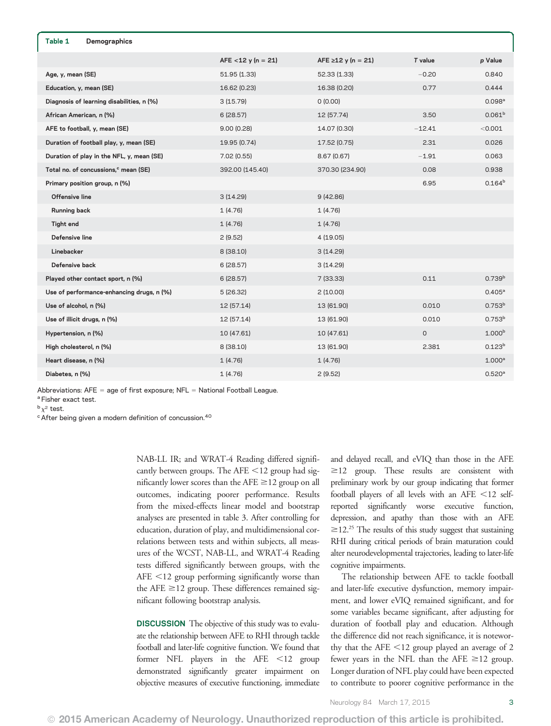| Table 1<br>Demographics                          |                       |                         |              |                    |
|--------------------------------------------------|-----------------------|-------------------------|--------------|--------------------|
|                                                  | $AFE < 12$ y (n = 21) | $AFE \ge 12$ y (n = 21) | T value      | p Value            |
| Age, y, mean (SE)                                | 51.95 (1.33)          | 52.33 (1.33)            | $-0.20$      | 0.840              |
| Education, y, mean (SE)                          | 16.62 (0.23)          | 16.38 (0.20)            | 0.77         | 0.444              |
| Diagnosis of learning disabilities, n (%)        | 3(15.79)              | 0(0.00)                 |              | 0.098 <sup>a</sup> |
| African American, n (%)                          | 6 (28.57)             | 12 (57.74)              | 3.50         | 0.061 <sup>b</sup> |
| AFE to football, y, mean (SE)                    | 9.00(0.28)            | 14.07 (0.30)            | $-12.41$     | < 0.001            |
| Duration of football play, y, mean (SE)          | 19.95 (0.74)          | 17.52 (0.75)            | 2.31         | 0.026              |
| Duration of play in the NFL, y, mean (SE)        | 7.02(0.55)            | 8.67(0.67)              | $-1.91$      | 0.063              |
| Total no. of concussions, <sup>c</sup> mean (SE) | 392.00 (145.40)       | 370.30 (234.90)         | 0.08         | 0.938              |
| Primary position group, n (%)                    |                       |                         | 6.95         | 0.164 <sup>b</sup> |
| Offensive line                                   | 3(14.29)              | 9(42.86)                |              |                    |
| Running back                                     | 1(4.76)               | 1(4.76)                 |              |                    |
| <b>Tight end</b>                                 | 1(4.76)               | 1(4.76)                 |              |                    |
| Defensive line                                   | 2(9.52)               | 4(19.05)                |              |                    |
| Linebacker                                       | 8 (38.10)             | 3(14.29)                |              |                    |
| Defensive back                                   | 6 (28.57)             | 3(14.29)                |              |                    |
| Played other contact sport, n (%)                | 6(28.57)              | 7(33.33)                | 0.11         | 0.739 <sup>b</sup> |
| Use of performance-enhancing drugs, n (%)        | 5(26.32)              | 2(10.00)                |              | $0.405^{\rm a}$    |
| Use of alcohol, n (%)                            | 12 (57.14)            | 13 (61.90)              | 0.010        | 0.753 <sup>b</sup> |
| Use of illicit drugs, n (%)                      | 12 (57.14)            | 13 (61.90)              | 0.010        | 0.753 <sup>b</sup> |
| Hypertension, n (%)                              | 10 (47.61)            | 10 (47.61)              | $\mathsf{O}$ | 1.000 <sup>b</sup> |
| High cholesterol, n (%)                          | 8 (38.10)             | 13 (61.90)              | 2.381        | 0.123 <sup>b</sup> |
| Heart disease, n (%)                             | 1(4.76)               | 1(4.76)                 |              | 1.000 <sup>a</sup> |
| Diabetes, n (%)                                  | 1(4.76)               | 2(9.52)                 |              | 0.520 <sup>a</sup> |
|                                                  |                       |                         |              |                    |

Abbreviations:  $AFE = age$  of first exposure;  $NFL = National Football League$ .

<sup>a</sup> Fisher exact test.  $\frac{b}{\chi^2}$  test.

 $\degree$  After being given a modern definition of concussion.<sup>40</sup>

NAB-LL IR; and WRAT-4 Reading differed significantly between groups. The AFE  $<$  12 group had significantly lower scores than the AFE  $\geq$  12 group on all outcomes, indicating poorer performance. Results from the mixed-effects linear model and bootstrap analyses are presented in table 3. After controlling for education, duration of play, and multidimensional correlations between tests and within subjects, all measures of the WCST, NAB-LL, and WRAT-4 Reading tests differed significantly between groups, with the  $AFE < 12$  group performing significantly worse than the AFE  $\geq$  12 group. These differences remained significant following bootstrap analysis.

**DISCUSSION** The objective of this study was to evaluate the relationship between AFE to RHI through tackle football and later-life cognitive function. We found that former NFL players in the AFE  $\lt 12$  group demonstrated significantly greater impairment on objective measures of executive functioning, immediate

and delayed recall, and eVIQ than those in the AFE  $\geq$ 12 group. These results are consistent with preliminary work by our group indicating that former football players of all levels with an AFE  $<$  12 selfreported significantly worse executive function, depression, and apathy than those with an AFE  $\geq$ 12.<sup>25</sup> The results of this study suggest that sustaining RHI during critical periods of brain maturation could alter neurodevelopmental trajectories, leading to later-life cognitive impairments.

The relationship between AFE to tackle football and later-life executive dysfunction, memory impairment, and lower eVIQ remained significant, and for some variables became significant, after adjusting for duration of football play and education. Although the difference did not reach significance, it is noteworthy that the AFE  $<$  12 group played an average of 2 fewer years in the NFL than the AFE  $\geq$ 12 group. Longer duration of NFL play could have been expected to contribute to poorer cognitive performance in the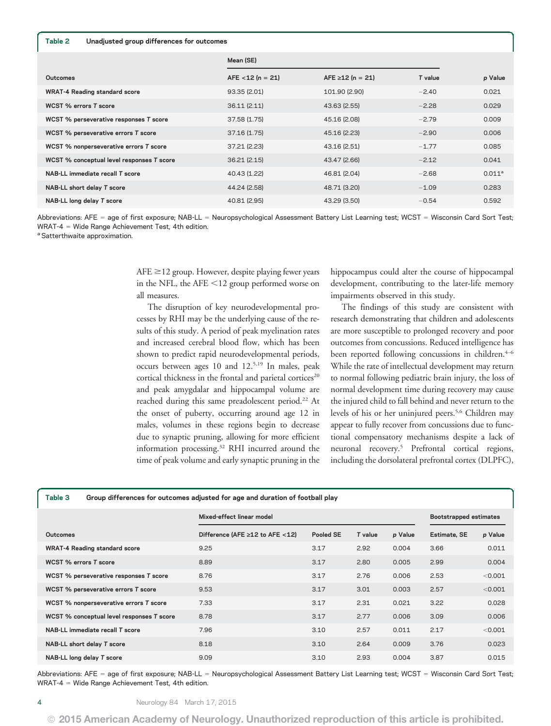Table 2 Unadjusted group differences for outcomes

|                                           | Mean (SE)           |                       |         |           |  |
|-------------------------------------------|---------------------|-----------------------|---------|-----------|--|
| Outcomes                                  | $AFE < 12 (n = 21)$ | $AFE \ge 12 (n = 21)$ | T value | p Value   |  |
| <b>WRAT-4 Reading standard score</b>      | 93.35 (2.01)        | 101.90 (2.90)         | $-2.40$ | 0.021     |  |
| WCST % errors T score                     | 36.11(2.11)         | 43.63 (2.55)          | $-2.28$ | 0.029     |  |
| WCST % perseverative responses T score    | 37.58 (1.75)        | 45.16 (2.08)          | $-2.79$ | 0.009     |  |
| WCST % perseverative errors T score       | 37.16 (1.75)        | 45.16 (2.23)          | $-2.90$ | 0.006     |  |
| WCST % nonperseverative errors T score    | 37.21 (2.23)        | 43.16 (2.51)          | $-1.77$ | 0.085     |  |
| WCST % conceptual level responses T score | 36.21 (2.15)        | 43.47 (2.66)          | $-2.12$ | 0.041     |  |
| NAB-LL immediate recall T score           | 40.43 (1.22)        | 46.81 (2.04)          | $-2.68$ | $0.011^a$ |  |
| NAB-LL short delay T score                | 44.24 (2.58)        | 48.71 (3.20)          | $-1.09$ | 0.283     |  |
| NAB-LL long delay T score                 | 40.81 (2.95)        | 43.29 (3.50)          | $-0.54$ | 0.592     |  |
|                                           |                     |                       |         |           |  |

Abbreviations: AFE = age of first exposure; NAB-LL = Neuropsychological Assessment Battery List Learning test; WCST = Wisconsin Card Sort Test; WRAT-4  $=$  Wide Range Achievement Test, 4th edition.

<sup>a</sup> Satterthwaite approximation.

 $AFE \geq 12$  group. However, despite playing fewer years in the NFL, the AFE  $<$  12 group performed worse on all measures.

The disruption of key neurodevelopmental processes by RHI may be the underlying cause of the results of this study. A period of peak myelination rates and increased cerebral blood flow, which has been shown to predict rapid neurodevelopmental periods, occurs between ages 10 and 12.5,19 In males, peak cortical thickness in the frontal and parietal cortices<sup>20</sup> and peak amygdalar and hippocampal volume are reached during this same preadolescent period.<sup>22</sup> At the onset of puberty, occurring around age 12 in males, volumes in these regions begin to decrease due to synaptic pruning, allowing for more efficient information processing.32 RHI incurred around the time of peak volume and early synaptic pruning in the hippocampus could alter the course of hippocampal development, contributing to the later-life memory impairments observed in this study.

The findings of this study are consistent with research demonstrating that children and adolescents are more susceptible to prolonged recovery and poor outcomes from concussions. Reduced intelligence has been reported following concussions in children.<sup>4-6</sup> While the rate of intellectual development may return to normal following pediatric brain injury, the loss of normal development time during recovery may cause the injured child to fall behind and never return to the levels of his or her uninjured peers.<sup>5,6</sup> Children may appear to fully recover from concussions due to functional compensatory mechanisms despite a lack of neuronal recovery.5 Prefrontal cortical regions, including the dorsolateral prefrontal cortex (DLPFC),

| Table 3<br>Group differences for outcomes adjusted for age and duration of football play |                                 |           |         |         |                               |         |  |  |
|------------------------------------------------------------------------------------------|---------------------------------|-----------|---------|---------|-------------------------------|---------|--|--|
|                                                                                          | Mixed-effect linear model       |           |         |         | <b>Bootstrapped estimates</b> |         |  |  |
| <b>Outcomes</b>                                                                          | Difference (AFE ≥12 to AFE <12) | Pooled SE | T value | p Value | Estimate, SE                  | p Value |  |  |
| <b>WRAT-4 Reading standard score</b>                                                     | 9.25                            | 3.17      | 2.92    | 0.004   | 3.66                          | 0.011   |  |  |
| <b>WCST % errors T score</b>                                                             | 8.89                            | 3.17      | 2.80    | 0.005   | 2.99                          | 0.004   |  |  |
| WCST % perseverative responses T score                                                   | 8.76                            | 3.17      | 2.76    | 0.006   | 2.53                          | < 0.001 |  |  |
| WCST % perseverative errors T score                                                      | 9.53                            | 3.17      | 3.01    | 0.003   | 2.57                          | < 0.001 |  |  |
| WCST % nonperseverative errors T score                                                   | 7.33                            | 3.17      | 2.31    | 0.021   | 3.22                          | 0.028   |  |  |
| WCST % conceptual level responses T score                                                | 8.78                            | 3.17      | 2.77    | 0.006   | 3.09                          | 0.006   |  |  |
| NAB-LL immediate recall T score                                                          | 7.96                            | 3.10      | 2.57    | 0.011   | 2.17                          | < 0.001 |  |  |
| NAB-LL short delay T score                                                               | 8.18                            | 3.10      | 2.64    | 0.009   | 3.76                          | 0.023   |  |  |
| NAB-LL long delay T score                                                                | 9.09                            | 3.10      | 2.93    | 0.004   | 3.87                          | 0.015   |  |  |

Abbreviations: AFE = age of first exposure; NAB-LL = Neuropsychological Assessment Battery List Learning test; WCST = Wisconsin Card Sort Test;  $WRAT-4 = Wide Range$  Achievement Test, 4th edition.

© 2015 American Academy of Neurology. Unauthorized reproduction of this article is prohibited.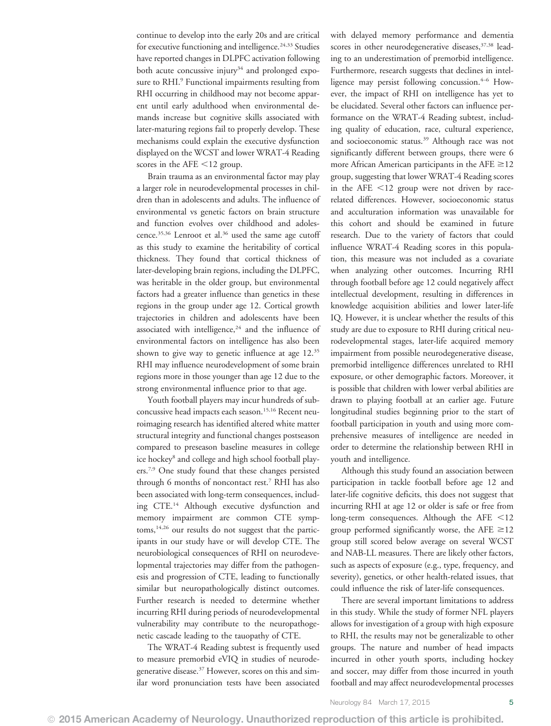continue to develop into the early 20s and are critical for executive functioning and intelligence.<sup>24,33</sup> Studies have reported changes in DLPFC activation following both acute concussive injury $34$  and prolonged exposure to RHI.<sup>9</sup> Functional impairments resulting from RHI occurring in childhood may not become apparent until early adulthood when environmental demands increase but cognitive skills associated with later-maturing regions fail to properly develop. These mechanisms could explain the executive dysfunction displayed on the WCST and lower WRAT-4 Reading scores in the AFE  $<$ 12 group.

Brain trauma as an environmental factor may play a larger role in neurodevelopmental processes in children than in adolescents and adults. The influence of environmental vs genetic factors on brain structure and function evolves over childhood and adolescence.<sup>35,36</sup> Lenroot et al.<sup>36</sup> used the same age cutoff as this study to examine the heritability of cortical thickness. They found that cortical thickness of later-developing brain regions, including the DLPFC, was heritable in the older group, but environmental factors had a greater influence than genetics in these regions in the group under age 12. Cortical growth trajectories in children and adolescents have been associated with intelligence,<sup>24</sup> and the influence of environmental factors on intelligence has also been shown to give way to genetic influence at age 12.35 RHI may influence neurodevelopment of some brain regions more in those younger than age 12 due to the strong environmental influence prior to that age.

Youth football players may incur hundreds of subconcussive head impacts each season.<sup>15,16</sup> Recent neuroimaging research has identified altered white matter structural integrity and functional changes postseason compared to preseason baseline measures in college ice hockey<sup>8</sup> and college and high school football players.7,9 One study found that these changes persisted through 6 months of noncontact rest.<sup>7</sup> RHI has also been associated with long-term consequences, including CTE.14 Although executive dysfunction and memory impairment are common CTE symptoms,14,26 our results do not suggest that the participants in our study have or will develop CTE. The neurobiological consequences of RHI on neurodevelopmental trajectories may differ from the pathogenesis and progression of CTE, leading to functionally similar but neuropathologically distinct outcomes. Further research is needed to determine whether incurring RHI during periods of neurodevelopmental vulnerability may contribute to the neuropathogenetic cascade leading to the tauopathy of CTE.

The WRAT-4 Reading subtest is frequently used to measure premorbid eVIQ in studies of neurodegenerative disease.<sup>37</sup> However, scores on this and similar word pronunciation tests have been associated with delayed memory performance and dementia scores in other neurodegenerative diseases, 37,38 leading to an underestimation of premorbid intelligence. Furthermore, research suggests that declines in intelligence may persist following concussion.<sup>4-6</sup> However, the impact of RHI on intelligence has yet to be elucidated. Several other factors can influence performance on the WRAT-4 Reading subtest, including quality of education, race, cultural experience, and socioeconomic status.<sup>39</sup> Although race was not significantly different between groups, there were 6 more African American participants in the AFE  $\geq$ 12 group, suggesting that lower WRAT-4 Reading scores in the AFE  $\leq 12$  group were not driven by racerelated differences. However, socioeconomic status and acculturation information was unavailable for this cohort and should be examined in future research. Due to the variety of factors that could influence WRAT-4 Reading scores in this population, this measure was not included as a covariate when analyzing other outcomes. Incurring RHI through football before age 12 could negatively affect intellectual development, resulting in differences in knowledge acquisition abilities and lower later-life IQ. However, it is unclear whether the results of this study are due to exposure to RHI during critical neurodevelopmental stages, later-life acquired memory impairment from possible neurodegenerative disease, premorbid intelligence differences unrelated to RHI exposure, or other demographic factors. Moreover, it is possible that children with lower verbal abilities are drawn to playing football at an earlier age. Future longitudinal studies beginning prior to the start of football participation in youth and using more comprehensive measures of intelligence are needed in order to determine the relationship between RHI in youth and intelligence.

Although this study found an association between participation in tackle football before age 12 and later-life cognitive deficits, this does not suggest that incurring RHI at age 12 or older is safe or free from long-term consequences. Although the AFE  $\leq 12$ group performed significantly worse, the AFE  $\geq$ 12 group still scored below average on several WCST and NAB-LL measures. There are likely other factors, such as aspects of exposure (e.g., type, frequency, and severity), genetics, or other health-related issues, that could influence the risk of later-life consequences.

There are several important limitations to address in this study. While the study of former NFL players allows for investigation of a group with high exposure to RHI, the results may not be generalizable to other groups. The nature and number of head impacts incurred in other youth sports, including hockey and soccer, may differ from those incurred in youth football and may affect neurodevelopmental processes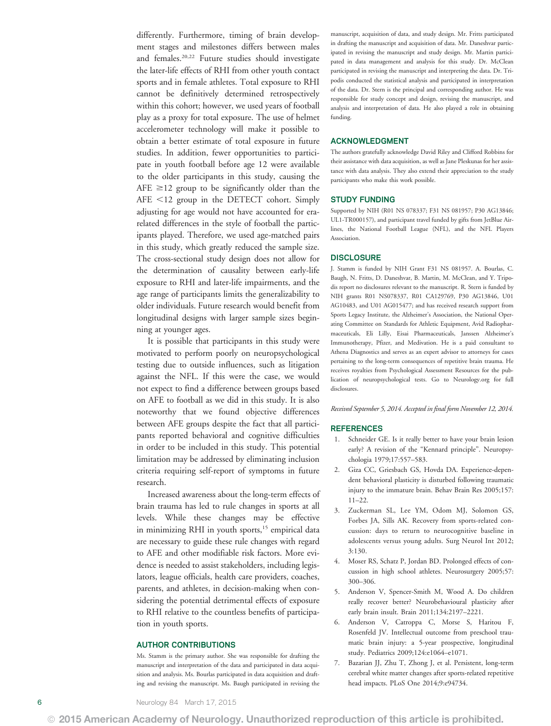differently. Furthermore, timing of brain development stages and milestones differs between males and females.20,22 Future studies should investigate the later-life effects of RHI from other youth contact sports and in female athletes. Total exposure to RHI cannot be definitively determined retrospectively within this cohort; however, we used years of football play as a proxy for total exposure. The use of helmet accelerometer technology will make it possible to obtain a better estimate of total exposure in future studies. In addition, fewer opportunities to participate in youth football before age 12 were available to the older participants in this study, causing the AFE  $\geq$ 12 group to be significantly older than the  $AFE < 12$  group in the DETECT cohort. Simply adjusting for age would not have accounted for erarelated differences in the style of football the participants played. Therefore, we used age-matched pairs in this study, which greatly reduced the sample size. The cross-sectional study design does not allow for the determination of causality between early-life exposure to RHI and later-life impairments, and the age range of participants limits the generalizability to older individuals. Future research would benefit from longitudinal designs with larger sample sizes beginning at younger ages.

It is possible that participants in this study were motivated to perform poorly on neuropsychological testing due to outside influences, such as litigation against the NFL. If this were the case, we would not expect to find a difference between groups based on AFE to football as we did in this study. It is also noteworthy that we found objective differences between AFE groups despite the fact that all participants reported behavioral and cognitive difficulties in order to be included in this study. This potential limitation may be addressed by eliminating inclusion criteria requiring self-report of symptoms in future research.

Increased awareness about the long-term effects of brain trauma has led to rule changes in sports at all levels. While these changes may be effective in minimizing RHI in youth sports,<sup>15</sup> empirical data are necessary to guide these rule changes with regard to AFE and other modifiable risk factors. More evidence is needed to assist stakeholders, including legislators, league officials, health care providers, coaches, parents, and athletes, in decision-making when considering the potential detrimental effects of exposure to RHI relative to the countless benefits of participation in youth sports.

#### AUTHOR CONTRIBUTIONS

Ms. Stamm is the primary author. She was responsible for drafting the manuscript and interpretation of the data and participated in data acquisition and analysis. Ms. Bourlas participated in data acquisition and drafting and revising the manuscript. Ms. Baugh participated in revising the manuscript, acquisition of data, and study design. Mr. Fritts participated in drafting the manuscript and acquisition of data. Mr. Daneshvar participated in revising the manuscript and study design. Mr. Martin participated in data management and analysis for this study. Dr. McClean participated in revising the manuscript and interpreting the data. Dr. Tripodis conducted the statistical analysis and participated in interpretation of the data. Dr. Stern is the principal and corresponding author. He was responsible for study concept and design, revising the manuscript, and analysis and interpretation of data. He also played a role in obtaining funding.

#### ACKNOWLEDGMENT

The authors gratefully acknowledge David Riley and Clifford Robbins for their assistance with data acquisition, as well as Jane Pleskunas for her assistance with data analysis. They also extend their appreciation to the study participants who make this work possible.

### STUDY FUNDING

Supported by NIH (R01 NS 078337; F31 NS 081957; P30 AG13846; UL1-TR000157), and participant travel funded by gifts from JetBlue Airlines, the National Football League (NFL), and the NFL Players Association.

#### **DISCLOSURE**

J. Stamm is funded by NIH Grant F31 NS 081957. A. Bourlas, C. Baugh, N. Fritts, D. Daneshvar, B. Martin, M. McClean, and Y. Tripodis report no disclosures relevant to the manuscript. R. Stern is funded by NIH grants R01 NS078337, R01 CA129769, P30 AG13846, U01 AG10483, and U01 AG015477; and has received research support from Sports Legacy Institute, the Alzheimer's Association, the National Operating Committee on Standards for Athletic Equipment, Avid Radiopharmaceuticals, Eli Lilly, Eisai Pharmaceuticals, Janssen Alzheimer's Immunotherapy, Pfizer, and Medivation. He is a paid consultant to Athena Diagnostics and serves as an expert advisor to attorneys for cases pertaining to the long-term consequences of repetitive brain trauma. He receives royalties from Psychological Assessment Resources for the publication of neuropsychological tests. Go to [Neurology.org](http://neurology.org/) for full disclosures.

Received September 5, 2014. Accepted in final form November 12, 2014.

#### **REFERENCES**

- 1. Schneider GE. Is it really better to have your brain lesion early? A revision of the "Kennard principle". Neuropsychologia 1979;17:557–583.
- 2. Giza CC, Griesbach GS, Hovda DA. Experience-dependent behavioral plasticity is disturbed following traumatic injury to the immature brain. Behav Brain Res 2005;157: 11–22.
- 3. Zuckerman SL, Lee YM, Odom MJ, Solomon GS, Forbes JA, Sills AK. Recovery from sports-related concussion: days to return to neurocognitive baseline in adolescents versus young adults. Surg Neurol Int 2012; 3:130.
- 4. Moser RS, Schatz P, Jordan BD. Prolonged effects of concussion in high school athletes. Neurosurgery 2005;57: 300–306.
- 5. Anderson V, Spencer-Smith M, Wood A. Do children really recover better? Neurobehavioural plasticity after early brain insult. Brain 2011;134:2197–2221.
- 6. Anderson V, Catroppa C, Morse S, Haritou F, Rosenfeld JV. Intellectual outcome from preschool traumatic brain injury: a 5-year prospective, longitudinal study. Pediatrics 2009;124:e1064–e1071.
- 7. Bazarian JJ, Zhu T, Zhong J, et al. Persistent, long-term cerebral white matter changes after sports-related repetitive head impacts. PLoS One 2014;9:e94734.